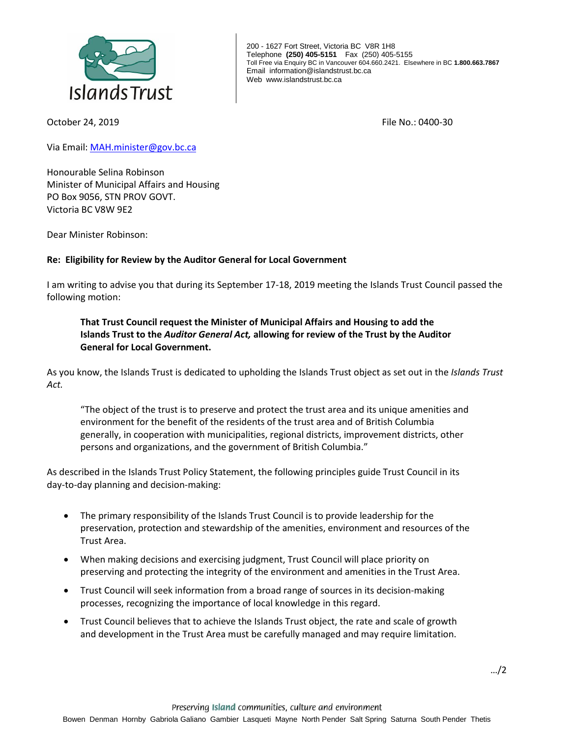

200 - 1627 Fort Street, Victoria BC V8R 1H8 Telephone **(250) 405-5151** Fax (250) 405-5155 Toll Free via Enquiry BC in Vancouver 604.660.2421. Elsewhere in BC **1.800.663.7867** Email information@islandstrust.bc.ca Web www.islandstrust.bc.ca

October 24, 2019 File No.: 0400-30

Via Email: [MAH.minister@gov.bc.ca](mailto:MAH.minister@gov.bc.ca)

Honourable Selina Robinson Minister of Municipal Affairs and Housing PO Box 9056, STN PROV GOVT. Victoria BC V8W 9E2

Dear Minister Robinson:

## **Re: Eligibility for Review by the Auditor General for Local Government**

I am writing to advise you that during its September 17-18, 2019 meeting the Islands Trust Council passed the following motion:

## **That Trust Council request the Minister of Municipal Affairs and Housing to add the Islands Trust to the** *Auditor General Act,* **allowing for review of the Trust by the Auditor General for Local Government.**

As you know, the Islands Trust is dedicated to upholding the Islands Trust object as set out in the *Islands Trust Act.*

"The object of the trust is to preserve and protect the trust area and its unique amenities and environment for the benefit of the residents of the trust area and of British Columbia generally, in cooperation with municipalities, regional districts, improvement districts, other persons and organizations, and the government of British Columbia."

As described in the Islands Trust Policy Statement, the following principles guide Trust Council in its day-to-day planning and decision-making:

- The primary responsibility of the Islands Trust Council is to provide leadership for the preservation, protection and stewardship of the amenities, environment and resources of the Trust Area.
- When making decisions and exercising judgment, Trust Council will place priority on preserving and protecting the integrity of the environment and amenities in the Trust Area.
- Trust Council will seek information from a broad range of sources in its decision-making processes, recognizing the importance of local knowledge in this regard.
- Trust Council believes that to achieve the Islands Trust object, the rate and scale of growth and development in the Trust Area must be carefully managed and may require limitation.